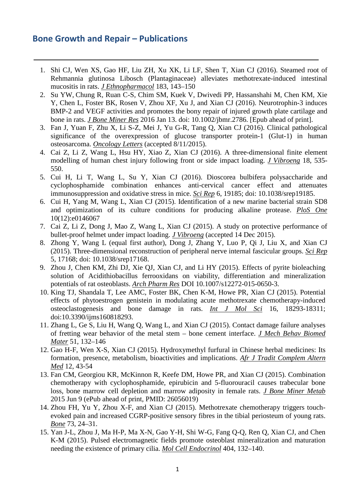## **Bone Growth and Repair – Publications**

- 1. Shi CJ, Wen XS, Gao HF, Liu ZH, Xu XK, Li LF, Shen T, Xian CJ (2016). Steamed root of Rehmannia glutinosa Libosch (Plantaginaceae) alleviates methotrexate-induced intestinal mucositis in rats. *J Ethnopharmacol* 183, 143–150
- 2. Su YW, Chung R, Ruan C-S, Chim SM, Kuek V, Dwivedi PP, Hassanshahi M, Chen KM, Xie Y, Chen L, Foster BK, Rosen V, Zhou XF, Xu J, and Xian CJ (2016). Neurotrophin-3 induces BMP-2 and VEGF activities and promotes the bony repair of injured growth plate cartilage and bone in rats. *J Bone Miner Res* 2016 Jan 13. doi: 10.1002/jbmr.2786. [Epub ahead of print].
- 3. Fan J, Yuan F, Zhu X, Li S-Z, Mei J, Yu G-R, Tang Q, Xian CJ (2016). Clinical pathological significance of the overexpression of glucose transporter protein-1 (Glut-1) in human osteosarcoma. *Oncology Letters* (accepted 8/11/2015).
- 4. Cai Z, Li Z, Wang L, Hsu HY, Xiao Z, Xian CJ (2016). A three-dimensional finite element modelling of human chest injury following front or side impact loading. *J Vibroeng* 18, 535- 550.
- 5. Cui H, Li T, Wang L, Su Y, Xian CJ (2016). Dioscorea bulbifera polysaccharide and cyclophosphamide combination enhances anti-cervical cancer effect and attenuates immunosuppression and oxidative stress in mice. *Sci Rep* 6, 19185; doi: 10.1038/srep19185.
- 6. Cui H, Yang M, Wang L, Xian CJ (2015). Identification of a new marine bacterial strain SD8 and optimization of its culture conditions for producing alkaline protease. *PloS One* 10(12):e0146067
- 7. Cai Z, Li Z, Dong J, Mao Z, Wang L, Xian CJ (2015). A study on protective performance of bullet-proof helmet under impact loading. *J Vibroeng* (accepted 14 Dec 2015).
- 8. Zhong Y, Wang L (equal first author), Dong J, Zhang Y, Luo P, Qi J, Liu X, and Xian CJ (2015). Three-dimensional reconstruction of peripheral nerve internal fascicular groups. *Sci Rep* 5, 17168; doi: 10.1038/srep17168.
- 9. Zhou J, Chen KM, Zhi DJ, Xie QJ, Xian CJ, and Li HY (2015). Effects of pyrite bioleaching solution of Acidithiobacillus ferrooxidans on viability, differentiation and mineralization potentials of rat osteoblasts. *Arch Pharm Res* DOI 10.1007/s12272-015-0650-3.
- 10. King TJ, Shandala T, Lee AMC, Foster BK, Chen K-M, Howe PR, Xian CJ (2015). Potential effects of phytoestrogen genistein in modulating acute methotrexate chemotherapy-induced osteoclastogenesis and bone damage in rats. *Int J Mol Sci* 16, 18293-18311; doi:10.3390/ijms160818293.
- 11. Zhang L, Ge S, Liu H, Wang Q, Wang L, and Xian CJ (2015). Contact damage failure analyses of fretting wear behavior of the metal stem – bone cement interface. *J Mech Behav Biomed Mater* 51, 132–146
- 12. Gao H-F, Wen X-S, Xian CJ (2015). Hydroxymethyl furfural in Chinese herbal medicines: Its formation, presence, metabolism, bioactivities and implications. *Afr J Tradit Complem Altern Med* 12, 43-54
- 13. Fan CM, Georgiou KR, McKinnon R, Keefe DM, Howe PR, and Xian CJ (2015). Combination chemotherapy with cyclophosphamide, epirubicin and 5-fluorouracil causes trabecular bone loss, bone marrow cell depletion and marrow adiposity in female rats. *J Bone Miner Metab* 2015 Jun 9 (ePub ahead of print, PMID: 26056019)
- 14. Zhou FH, Yu Y, Zhou X-F, and Xian CJ (2015). Methotrexate chemotherapy triggers touchevoked pain and increased CGRP-positive sensory fibres in the tibial periosteum of young rats. *Bone* 73, 24–31.
- 15. Yan J-L, Zhou J, Ma H-P, Ma X-N, Gao Y-H, Shi W-G, Fang Q-Q, Ren Q, Xian CJ, and Chen K-M (2015). Pulsed electromagnetic fields promote osteoblast mineralization and maturation needing the existence of primary cilia. *Mol Cell Endocrinol* 404, 132–140.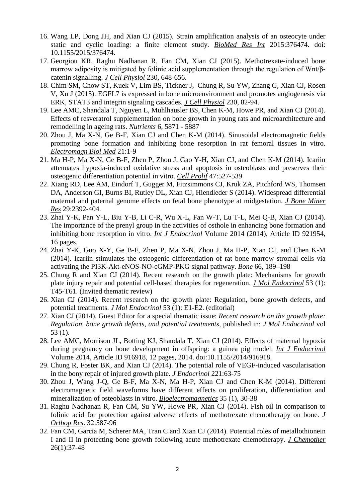- 16. Wang LP, Dong JH, and Xian CJ (2015). Strain amplification analysis of an osteocyte under static and cyclic loading: a finite element study. *BioMed Res Int* 2015:376474. doi: 10.1155/2015/376474.
- 17. Georgiou KR, Raghu Nadhanan R, Fan CM, Xian CJ (2015). Methotrexate-induced bone marrow adiposity is mitigated by folinic acid supplementation through the regulation of Wnt/βcatenin signalling. *J Cell Physiol* 230, 648-656.
- 18. Chim SM, Chow ST, Kuek V, Lim BS, Tickner J, Chung R, Su YW, Zhang G, Xian CJ, Rosen V, Xu J (2015). EGFL7 is expressed in bone microenvironment and promotes angiogenesis via ERK, STAT3 and integrin signaling cascades. *J Cell Physiol* 230, 82-94.
- 19. Lee AMC, Shandala T, Nguyen L, Muhlhausler BS, Chen K-M, Howe PR, and Xian CJ (2014). Effects of resveratrol supplementation on bone growth in young rats and microarchitecture and remodelling in ageing rats. *Nutrients* 6, 5871 - 5887
- 20. Zhou J, Ma X-N, Ge B-F, Xian CJ and Chen K-M (2014). Sinusoidal electromagnetic fields promoting bone formation and inhibiting bone resorption in rat femoral tissues in vitro. *Electromagn Biol Med* 21:1-9
- 21. Ma H-P, Ma X-N, Ge B-F, Zhen P, Zhou J, Gao Y-H, Xian CJ, and Chen K-M (2014). Icariin attenuates hypoxia-induced oxidative stress and apoptosis in osteoblasts and preserves their osteogenic differentiation potential in vitro. *Cell Prolif* 47:527-539
- 22. Xiang RD, Lee AM, Eindorf T, Gugger M, Fitzsimmons CJ, Kruk ZA, Pitchford WS, Thomsen DA, Anderson GI, Burns BI, Rutley DL, Xian CJ, Hiendleder S (2014). Widespread differential maternal and paternal genome effects on fetal bone phenotype at midgestation. *J Bone Miner Res* 29:2392-404.
- 23. Zhai Y-K, Pan Y-L, Biu Y-B, Li C-R, Wu X-L, Fan W-T, Lu T-L, Mei Q-B, Xian CJ (2014). The importance of the prenyl group in the activities of osthole in enhancing bone formation and inhibiting bone resorption in vitro. *Int J Endocrinol* Volume 2014 (2014), Article ID 921954, 16 pages.
- 24. Zhai Y-K, Guo X-Y, Ge B-F, Zhen P, Ma X-N, Zhou J, Ma H-P, Xian CJ, and Chen K-M (2014). Icariin stimulates the osteogenic differentiation of rat bone marrow stromal cells via activating the PI3K-Akt-eNOS-NO-cGMP-PKG signal pathway. *Bone* 66, 189–198
- 25. Chung R and Xian CJ (2014). Recent research on the growth plate: Mechanisms for growth plate injury repair and potential cell-based therapies for regeneration. *J Mol Endocrinol* 53 (1): T45-T61. (Invited thematic review)
- 26. Xian CJ (2014). Recent research on the growth plate: Regulation, bone growth defects, and potential treatments. *J Mol Endocrinol* 53 (1): E1-E2. (editorial)
- 27. Xian CJ (2014). Guest Editor for a special thematic issue: *Recent research on the growth plate: Regulation, bone growth defects, and potential treatments*, published in: *J Mol Endocrinol* vol 53 (1).
- 28. Lee AMC, Morrison JL, Botting KJ, Shandala T, Xian CJ (2014). Effects of maternal hypoxia during pregnancy on bone development in offspring: a guinea pig model. *Int J Endocrinol* Volume 2014, Article ID 916918, 12 pages, 2014. doi:10.1155/2014/916918.
- 29. Chung R, Foster BK, and Xian CJ (2014). The potential role of VEGF-induced vascularisation in the bony repair of injured growth plate. *J Endocrinol* 221:63-75
- 30. Zhou J, Wang J-Q, Ge B-F, Ma X-N, Ma H-P, Xian CJ and Chen K-M (2014). Different electromagnetic field waveforms have different effects on proliferation, differentiation and mineralization of osteoblasts in vitro. *Bioelectromagnetics* 35 (1), 30-38
- 31. Raghu Nadhanan R, Fan CM, Su YW, Howe PR, Xian CJ (2014). Fish oil in comparison to folinic acid for protection against adverse effects of methotrexate chemotherapy on bone. *J Orthop Res*. 32:587-96
- 32. Fan CM, Garcia M, Scherer MA, Tran C and Xian CJ (2014). Potential roles of metallothionein I and II in protecting bone growth following acute methotrexate chemotherapy. *J Chemother* 26(1):37-48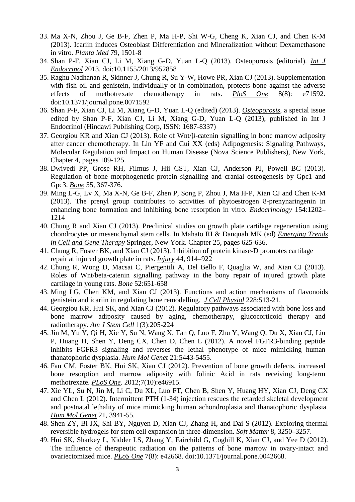- 33. Ma X-N, Zhou J, Ge B-F, Zhen P, Ma H-P, Shi W-G, Cheng K, Xian CJ, and Chen K-M (2013). Icariin induces Osteoblast Differentiation and Mineralization without Dexamethasone in vitro. *Planta Med* 79, 1501-8
- 34. Shan P-F, Xian CJ, Li M, Xiang G-D, Yuan L-Q (2013). Osteoporosis (editorial). *Int J Endocrinol* 2013. doi:10.1155/2013/952858
- 35. Raghu Nadhanan R, Skinner J, Chung R, Su Y-W, Howe PR, Xian CJ (2013). Supplementation with fish oil and genistein, individually or in combination, protects bone against the adverse effects of methotrexate chemotherapy in rats. *PloS One* 8(8): e71592. doi:10.1371/journal.pone.0071592
- 36. Shan P-F, Xian CJ, Li M, Xiang G-D, Yuan L-Q (edited) (2013). *Osteoporosis*, a special issue edited by Shan P-F, Xian CJ, Li M, Xiang G-D, Yuan L-Q (2013), published in Int J Endocrinol (Hindawi Publishing Corp, ISSN: 1687-8337)
- 37. Georgiou KR and Xian CJ (2013). Role of Wnt/β-catenin signalling in bone marrow adiposity after cancer chemotherapy. In Lin YF and Cui XX (eds) Adipogenesis: Signaling Pathways, Molecular Regulation and Impact on Human Disease (Nova Science Publishers), New York, Chapter 4, pages 109-125.
- 38. Dwivedi PP, Grose RH, Filmus J, Hii CST, Xian CJ, Anderson PJ, Powell BC (2013). Regulation of bone morphogenetic protein signalling and cranial osteogenesis by Gpc1 and Gpc3. *Bone* 55, 367-376.
- 39. Ming L-G, Lv X, Ma X-N, Ge B-F, Zhen P, Song P, Zhou J, Ma H-P, Xian CJ and Chen K-M (2013). The prenyl group contributes to activities of phytoestrogen 8-prenynaringenin in enhancing bone formation and inhibiting bone resorption in vitro. *Endocrinology* 154:1202– 1214
- 40. Chung R and Xian CJ (2013). Preclinical studies on growth plate cartilage regeneration using chondrocytes or mesenchymal stem cells. In Mahato RI & Danquah MK (ed) *Emerging Trends in Cell and Gene Therapy* Springer, New York. Chapter 25, pages 625-636.
- 41. Chung R, Foster BK, and Xian CJ (2013). Inhibition of protein kinase-D promotes cartilage repair at injured growth plate in rats. *Injury* 44, 914–922
- 42. Chung R, Wong D, Macsai C, Piergentili A, Del Bello F, Quaglia W, and Xian CJ (2013). Roles of Wnt/beta-catenin signalling pathway in the bony repair of injured growth plate cartilage in young rats. *Bone* 52:651-658
- 43. Ming LG, Chen KM, and Xian CJ (2013). Functions and action mechanisms of flavonoids genistein and icariin in regulating bone remodelling. *J Cell Physiol* 228:513-21.
- 44. Georgiou KR, Hui SK, and Xian CJ (2012). Regulatory pathways associated with bone loss and bone marrow adiposity caused by aging, chemotherapy, glucocorticoid therapy and radiotherapy. *Am J Stem Cell* 1(3):205-224
- 45. Jin M, Yu Y, Qi H, Xie Y, Su N, Wang X, Tan Q, Luo F, Zhu Y, Wang Q, Du X, Xian CJ, Liu P, Huang H, Shen Y, Deng CX, Chen D, Chen L (2012). A novel FGFR3-binding peptide inhibits FGFR3 signaling and reverses the lethal phenotype of mice mimicking human thanatophoric dysplasia. *Hum Mol Genet* 21:5443-5455.
- 46. Fan CM, Foster BK, Hui SK, Xian CJ (2012). Prevention of bone growth defects, increased bone resorption and marrow adiposity with folinic Acid in rats receiving long-term methotrexate. *PLoS One*. 2012;7(10):e46915.
- 47. Xie YL, Su N, Jin M, Li C, Du XL, Luo FT, Chen B, Shen Y, Huang HY, Xian CJ, Deng CX and Chen L (2012). Intermittent PTH (1-34) injection rescues the retarded skeletal development and postnatal lethality of mice mimicking human achondroplasia and thanatophoric dysplasia. *Hum Mol Genet* 21, 3941-55.
- 48. Shen ZY, Bi JX, Shi BY, Nguyen D, Xian CJ, Zhang H, and Dai S (2012). Exploring thermal reversible hydrogels for stem cell expansion in three-dimension. *Soft Matter* 8, 3250–3257.
- 49. Hui SK, Sharkey L, Kidder LS, Zhang Y, Fairchild G, Coghill K, Xian CJ, and Yee D (2012). The influence of therapeutic radiation on the patterns of bone marrow in ovary-intact and ovariectomized mice. *PLoS One* 7(8): e42668. doi:10.1371/journal.pone.0042668.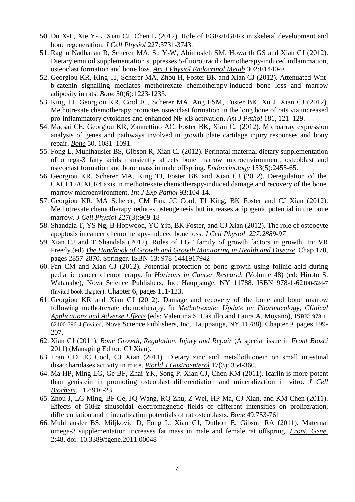- 50. Du X-L, Xie Y-L, Xian CJ, Chen L (2012). Role of FGFs/FGFRs in skeletal development and bone regeneration. *J Cell Physiol* 227:3731-3743.
- 51. Raghu Nadhanan R, Scherer MA, Su Y-W, Abimosleh SM, Howarth GS and Xian CJ (2012). Dietary emu oil supplementation suppresses 5-fluorouracil chemotherapy-induced inflammation, osteoclast formation and bone loss. *Am J Physiol Endocrinol Metab* 302:E1440-9.
- 52. Georgiou KR, King TJ, Scherer MA, Zhou H, Foster BK and Xian CJ (2012). Attenuated Wntb-catenin signalling mediates methotrexate chemotherapy-induced bone loss and marrow adiposity in rats. *Bone* 50(6):1223-1233.
- 53. King TJ, Georgiou KR, Cool JC, Scherer MA, Ang ESM, Foster BK, Xu J, Xian CJ (2012). Methotrexate chemotherapy promotes osteoclast formation in the long bone of rats via increased pro-inflammatory cytokines and enhanced NF-κB activation. *Am J Pathol* 181, 121–129.
- 54. Macsai CE, Georgiou KR, Zannettino AC, Foster BK, Xian CJ (2012). Microarray expression analysis of genes and pathways involved in growth plate cartilage injury responses and bony repair. *Bone* 50, 1081–1091.
- 55. Fong L, Muhlhausler BS, Gibson R, Xian CJ (2012). Perinatal maternal dietary supplementation of omega-3 fatty acids transiently affects bone marrow microenvironment, osteoblast and osteoclast formation and bone mass in male offspring. *Endocrinology* 153(5):2455-65.
- 56. Georgiou KR, Scherer MA, King TJ, Foster BK and Xian CJ (2012). Deregulation of the CXCL12/CXCR4 axis in methotrexate chemotherapy-induced damage and recovery of the bone marrow microenvironment. *Int J Exp Pathol* 93:104-14.
- 57. Georgiou KR, MA Scherer, CM Fan, JC Cool, TJ King, BK Foster and CJ Xian (2012). Methotrexate chemotherapy reduces osteogenesis but increases adipogenic potential in the bone marrow. *J Cell Physiol* 227(3):909-18
- 58. Shandala T, YS Ng, B Hopwood, YC Yip, BK Foster, and CJ Xian (2012). The role of osteocyte apoptosis in cancer chemotherapy-induced bone loss. *J Cell Physiol 227:2889-97*
- 59. Xian CJ and T Shandala (2012). Roles of EGF family of growth factors in growth. In: VR Preedy (ed) *The Handbook of Growth and Growth Monitoring in Health and Disease*. Chap 170, pages 2857-2870. Springer. ISBN-13: 978-1441917942
- 60. Fan CM and Xian CJ (2012). Potential protection of bone growth using folinic acid during pediatric cancer chemotherapy. In *Horizons in Cancer Research* (Volume 48) (ed: Hiroto S. Watanabe), Nova Science Publishers, Inc, Hauppauge, NY 11788. ISBN 978-1-62100-524-7 (Invited book chapter). Chapter 6, pages 111-123.
- 61. Georgiou KR and Xian CJ (2012). Damage and recovery of the bone and bone marrow following methotrexate chemotherapy. In *Methotrexate: Update on Pharmacology, Clinical Applications and Adverse Effects* (eds: Valentina S. Castillo and Laura A. Moyano), ISBN: 978-1- 62100-596-4 (Invited, Nova Science Publishers, Inc, Hauppauge, NY 11788). Chapter 9, pages 199- 207.
- 62. Xian CJ (2011). *Bone Growth, Regulation, Injury and Repair* (A special issue in *Front Biosci* 2011) (Managing Editor: CJ Xian).
- 63. Tran CD, JC Cool, CJ Xian (2011). Dietary zinc and metallothionein on small intestinal disaccharidases activity in mice. *World J Gastroenterol* 17(3): 354-360.
- 64. Ma HP, Ming LG, Ge BF, Zhai YK, Song P, Xian CJ, Chen KM (2011). Icariin is more potent than genistein in promoting osteoblast differentiation and mineralization in vitro. *J Cell Biochem*. 112:916-23
- 65. Zhou J, LG Ming, BF Ge, JQ Wang, RQ Zhu, Z Wei, HP Ma, CJ Xian, and KM Chen (2011). Effects of 50Hz sinusoidal electromagnetic fields of different intensities on proliferation, differentiation and mineralization potentials of rat osteoblasts. *Bone* 49:753-761
- 66. Muhlhausler BS, Miljkovic D, Fong L, Xian CJ, Duthoit E, Gibson RA (2011). Maternal omega-3 supplementation increases fat mass in male and female rat offspring. *Front. Gene.*  2:48. doi: 10.3389/fgene.2011.00048